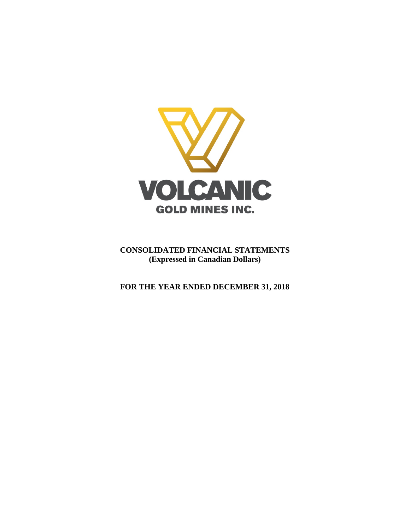

**CONSOLIDATED FINANCIAL STATEMENTS (Expressed in Canadian Dollars)**

**FOR THE YEAR ENDED DECEMBER 31, 2018**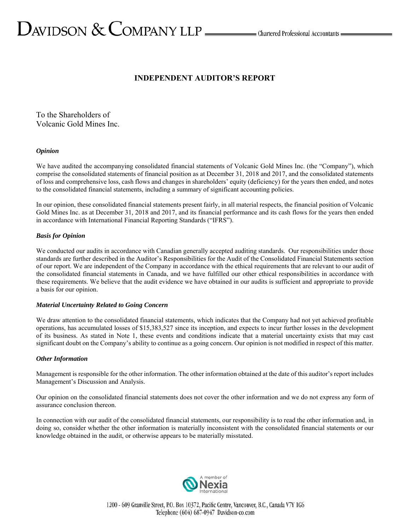# $D_{\text{AVIDSON}} \ \& \ \text{COMPANY LLP} \xrightarrow{\qquad \qquad \text{Charactered Professional Accountants =$

# **INDEPENDENT AUDITOR'S REPORT**

To the Shareholders of Volcanic Gold Mines Inc.

# *Opinion*

We have audited the accompanying consolidated financial statements of Volcanic Gold Mines Inc. (the "Company"), which comprise the consolidated statements of financial position as at December 31, 2018 and 2017, and the consolidated statements of loss and comprehensive loss, cash flows and changes in shareholders' equity (deficiency) for the years then ended, and notes to the consolidated financial statements, including a summary of significant accounting policies.

In our opinion, these consolidated financial statements present fairly, in all material respects, the financial position of Volcanic Gold Mines Inc. as at December 31, 2018 and 2017, and its financial performance and its cash flows for the years then ended in accordance with International Financial Reporting Standards ("IFRS").

# *Basis for Opinion*

We conducted our audits in accordance with Canadian generally accepted auditing standards. Our responsibilities under those standards are further described in the Auditor's Responsibilities for the Audit of the Consolidated Financial Statements section of our report. We are independent of the Company in accordance with the ethical requirements that are relevant to our audit of the consolidated financial statements in Canada, and we have fulfilled our other ethical responsibilities in accordance with these requirements. We believe that the audit evidence we have obtained in our audits is sufficient and appropriate to provide a basis for our opinion.

# *Material Uncertainty Related to Going Concern*

We draw attention to the consolidated financial statements, which indicates that the Company had not yet achieved profitable operations, has accumulated losses of \$15,383,527 since its inception, and expects to incur further losses in the development of its business. As stated in Note 1, these events and conditions indicate that a material uncertainty exists that may cast significant doubt on the Company's ability to continue as a going concern. Our opinion is not modified in respect of this matter.

# *Other Information*

Management is responsible for the other information. The other information obtained at the date of this auditor's report includes Management's Discussion and Analysis.

Our opinion on the consolidated financial statements does not cover the other information and we do not express any form of assurance conclusion thereon.

In connection with our audit of the consolidated financial statements, our responsibility is to read the other information and, in doing so, consider whether the other information is materially inconsistent with the consolidated financial statements or our knowledge obtained in the audit, or otherwise appears to be materially misstated.

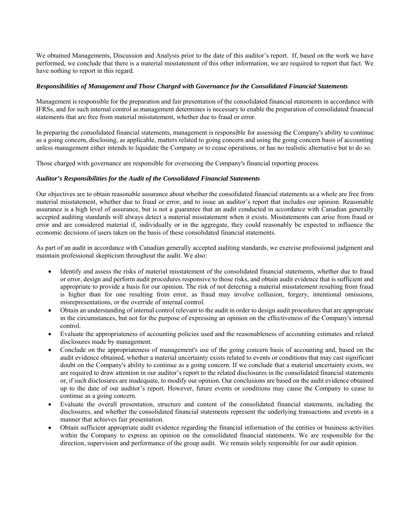We obtained Managements, Discussion and Analysis prior to the date of this auditor's report. If, based on the work we have performed, we conclude that there is a material misstatement of this other information, we are required to report that fact. We have nothing to report in this regard.

# *Responsibilities of Management and Those Charged with Governance for the Consolidated Financial Statements*

Management is responsible for the preparation and fair presentation of the consolidated financial statements in accordance with IFRSs, and for such internal control as management determines is necessary to enable the preparation of consolidated financial statements that are free from material misstatement, whether due to fraud or error.

In preparing the consolidated financial statements, management is responsible for assessing the Company's ability to continue as a going concern, disclosing, as applicable, matters related to going concern and using the going concern basis of accounting unless management either intends to liquidate the Company or to cease operations, or has no realistic alternative but to do so.

Those charged with governance are responsible for overseeing the Company's financial reporting process.

## *Auditor's Responsibilities for the Audit of the Consolidated Financial Statements*

Our objectives are to obtain reasonable assurance about whether the consolidated financial statements as a whole are free from material misstatement, whether due to fraud or error, and to issue an auditor's report that includes our opinion. Reasonable assurance is a high level of assurance, but is not a guarantee that an audit conducted in accordance with Canadian generally accepted auditing standards will always detect a material misstatement when it exists. Misstatements can arise from fraud or error and are considered material if, individually or in the aggregate, they could reasonably be expected to influence the economic decisions of users taken on the basis of these consolidated financial statements.

As part of an audit in accordance with Canadian generally accepted auditing standards, we exercise professional judgment and maintain professional skepticism throughout the audit. We also:

- Identify and assess the risks of material misstatement of the consolidated financial statements, whether due to fraud or error, design and perform audit procedures responsive to those risks, and obtain audit evidence that is sufficient and appropriate to provide a basis for our opinion. The risk of not detecting a material misstatement resulting from fraud is higher than for one resulting from error, as fraud may involve collusion, forgery, intentional omissions, misrepresentations, or the override of internal control.
- Obtain an understanding of internal control relevant to the audit in order to design audit procedures that are appropriate in the circumstances, but not for the purpose of expressing an opinion on the effectiveness of the Company's internal control.
- Evaluate the appropriateness of accounting policies used and the reasonableness of accounting estimates and related disclosures made by management.
- Conclude on the appropriateness of management's use of the going concern basis of accounting and, based on the audit evidence obtained, whether a material uncertainty exists related to events or conditions that may cast significant doubt on the Company's ability to continue as a going concern. If we conclude that a material uncertainty exists, we are required to draw attention in our auditor's report to the related disclosures in the consolidated financial statements or, if such disclosures are inadequate, to modify our opinion. Our conclusions are based on the audit evidence obtained up to the date of our auditor's report. However, future events or conditions may cause the Company to cease to continue as a going concern.
- Evaluate the overall presentation, structure and content of the consolidated financial statements, including the disclosures, and whether the consolidated financial statements represent the underlying transactions and events in a manner that achieves fair presentation.
- Obtain sufficient appropriate audit evidence regarding the financial information of the entities or business activities within the Company to express an opinion on the consolidated financial statements. We are responsible for the direction, supervision and performance of the group audit. We remain solely responsible for our audit opinion.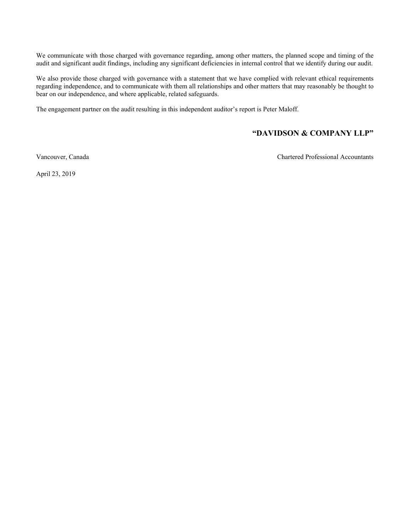We communicate with those charged with governance regarding, among other matters, the planned scope and timing of the audit and significant audit findings, including any significant deficiencies in internal control that we identify during our audit.

We also provide those charged with governance with a statement that we have complied with relevant ethical requirements regarding independence, and to communicate with them all relationships and other matters that may reasonably be thought to bear on our independence, and where applicable, related safeguards.

The engagement partner on the audit resulting in this independent auditor's report is Peter Maloff.

# **"DAVIDSON & COMPANY LLP"**

Vancouver, Canada Chartered Professional Accountants

April 23, 2019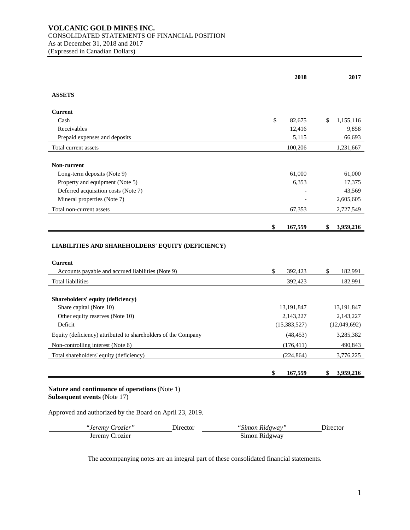# **VOLCANIC GOLD MINES INC.** CONSOLIDATED STATEMENTS OF FINANCIAL POSITION As at December 31, 2018 and 2017 (Expressed in Canadian Dollars)

|                                                               | 2018                        | 2017            |
|---------------------------------------------------------------|-----------------------------|-----------------|
| <b>ASSETS</b>                                                 |                             |                 |
| <b>Current</b>                                                |                             |                 |
| Cash                                                          | \$<br>82,675                | \$<br>1,155,116 |
| Receivables                                                   | 12,416                      | 9,858           |
| Prepaid expenses and deposits                                 | 5,115                       | 66,693          |
| Total current assets                                          | 100,206                     | 1,231,667       |
| Non-current                                                   |                             |                 |
| Long-term deposits (Note 9)                                   | 61,000                      | 61,000          |
| Property and equipment (Note 5)                               | 6,353                       | 17,375          |
| Deferred acquisition costs (Note 7)                           |                             | 43,569          |
| Mineral properties (Note 7)                                   |                             | 2,605,605       |
| Total non-current assets                                      | 67,353                      | 2,727,549       |
|                                                               | \$<br>167,559               | \$<br>3,959,216 |
| LIABILITIES AND SHAREHOLDERS' EQUITY (DEFICIENCY)             |                             |                 |
| <b>Current</b>                                                |                             |                 |
| Accounts payable and accrued liabilities (Note 9)             | \$<br>392,423               | \$<br>182,991   |
| <b>Total liabilities</b>                                      | 392,423                     | 182,991         |
|                                                               |                             |                 |
| Shareholders' equity (deficiency)                             |                             |                 |
| Share capital (Note 10)                                       | 13,191,847                  | 13,191,847      |
| Other equity reserves (Note 10)<br>Deficit                    | 2,143,227<br>(15, 383, 527) | 2,143,227       |
|                                                               |                             | (12,049,692)    |
| Equity (deficiency) attributed to shareholders of the Company | (48, 453)                   | 3,285,382       |
| Non-controlling interest (Note 6)                             | (176, 411)                  | 490,843         |
| Total shareholders' equity (deficiency)                       | (224, 864)                  | 3,776,225       |
|                                                               | \$<br>167,559               | \$<br>3,959,216 |

# **Nature and continuance of operations** (Note 1) **Subsequent events** (Note 17)

# Approved and authorized by the Board on April 23, 2019.

| <i>"Jeremy Crozier"</i> | Director | "Simon Ridgway" | Director |
|-------------------------|----------|-----------------|----------|
| Jeremy Crozier          |          | Simon Ridgway   |          |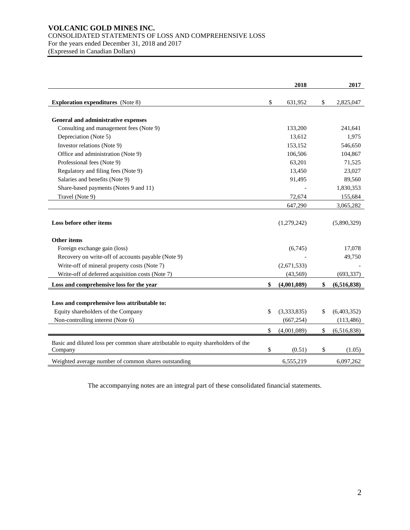# **VOLCANIC GOLD MINES INC.** CONSOLIDATED STATEMENTS OF LOSS AND COMPREHENSIVE LOSS For the years ended December 31, 2018 and 2017 (Expressed in Canadian Dollars)

|                                                                                               | 2018              | 2017              |
|-----------------------------------------------------------------------------------------------|-------------------|-------------------|
| <b>Exploration expenditures</b> (Note 8)                                                      | \$<br>631,952     | \$<br>2,825,047   |
| General and administrative expenses                                                           |                   |                   |
| Consulting and management fees (Note 9)                                                       | 133,200           | 241,641           |
| Depreciation (Note 5)                                                                         | 13,612            | 1,975             |
| Investor relations (Note 9)                                                                   | 153,152           | 546,650           |
| Office and administration (Note 9)                                                            | 106,506           | 104,867           |
| Professional fees (Note 9)                                                                    | 63,201            | 71,525            |
| Regulatory and filing fees (Note 9)                                                           | 13,450            | 23,027            |
| Salaries and benefits (Note 9)                                                                | 91,495            | 89,560            |
| Share-based payments (Notes 9 and 11)                                                         |                   | 1,830,353         |
| Travel (Note 9)                                                                               | 72,674            | 155,684           |
|                                                                                               | 647,290           | 3,065,282         |
| Loss before other items                                                                       | (1,279,242)       | (5,890,329)       |
| <b>Other items</b>                                                                            |                   |                   |
| Foreign exchange gain (loss)                                                                  | (6,745)           | 17,078            |
| Recovery on write-off of accounts payable (Note 9)                                            |                   | 49,750            |
| Write-off of mineral property costs (Note 7)                                                  | (2,671,533)       |                   |
| Write-off of deferred acquisition costs (Note 7)                                              | (43,569)          | (693, 337)        |
| Loss and comprehensive loss for the year                                                      | \$<br>(4,001,089) | \$<br>(6,516,838) |
| Loss and comprehensive loss attributable to:<br>Equity shareholders of the Company            | \$<br>(3,333,835) | \$<br>(6,403,352) |
| Non-controlling interest (Note 6)                                                             | (667, 254)        | (113, 486)        |
|                                                                                               | \$<br>(4,001,089) | \$<br>(6,516,838) |
| Basic and diluted loss per common share attributable to equity shareholders of the<br>Company | \$<br>(0.51)      | \$<br>(1.05)      |
| Weighted average number of common shares outstanding                                          | 6,555,219         | 6,097,262         |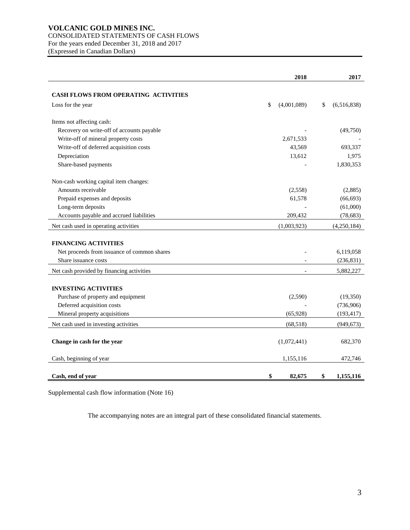# **VOLCANIC GOLD MINES INC.** CONSOLIDATED STATEMENTS OF CASH FLOWS For the years ended December 31, 2018 and 2017

(Expressed in Canadian Dollars)

|                                             | 2018              | 2017              |
|---------------------------------------------|-------------------|-------------------|
| <b>CASH FLOWS FROM OPERATING ACTIVITIES</b> |                   |                   |
| Loss for the year                           | \$<br>(4,001,089) | \$<br>(6,516,838) |
| Items not affecting cash:                   |                   |                   |
| Recovery on write-off of accounts payable   |                   | (49,750)          |
| Write-off of mineral property costs         | 2,671,533         |                   |
| Write-off of deferred acquisition costs     | 43,569            | 693,337           |
| Depreciation                                | 13,612            | 1,975             |
| Share-based payments                        |                   | 1,830,353         |
| Non-cash working capital item changes:      |                   |                   |
| Amounts receivable                          | (2,558)           | (2,885)           |
| Prepaid expenses and deposits               | 61,578            | (66, 693)         |
| Long-term deposits                          |                   | (61,000)          |
| Accounts payable and accrued liabilities    | 209,432           | (78, 683)         |
| Net cash used in operating activities       | (1,003,923)       | (4,250,184)       |
| <b>FINANCING ACTIVITIES</b>                 |                   |                   |
| Net proceeds from issuance of common shares |                   | 6,119,058         |
| Share issuance costs                        |                   | (236, 831)        |
| Net cash provided by financing activities   |                   | 5,882,227         |
| <b>INVESTING ACTIVITIES</b>                 |                   |                   |
| Purchase of property and equipment          | (2,590)           | (19,350)          |
| Deferred acquisition costs                  |                   | (736,906)         |
| Mineral property acquisitions               | (65, 928)         | (193, 417)        |
| Net cash used in investing activities       | (68, 518)         |                   |
|                                             |                   | (949, 673)        |
| Change in cash for the year                 | (1,072,441)       | 682,370           |
| Cash, beginning of year                     | 1,155,116         | 472,746           |
| Cash, end of year                           | \$<br>82,675      | \$<br>1,155,116   |

Supplemental cash flow information (Note 16)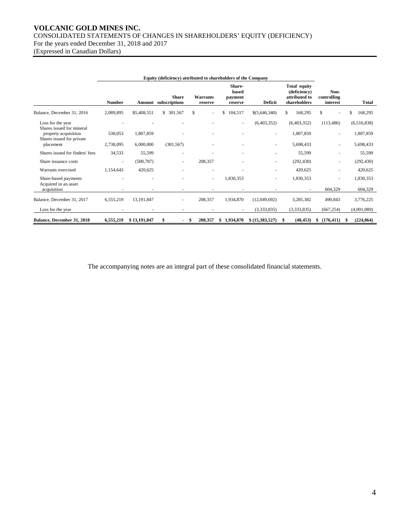# **VOLCANIC GOLD MINES INC.**  CONSOLIDATED STATEMENTS OF CHANGES IN SHAREHOLDERS' EQUITY (DEFICIENCY) For the years ended December 31, 2018 and 2017 (Expressed in Canadian Dollars)

**Equity (deficiency) attributed to shareholders of the Company Number Amount subscriptions Share Warrants reserve Sharebased payment reserve Deficit Total equity (deficiency) attributed to shareholders Noncontrolling interest Total** Balance, December 31, 2016 2,089,895 \$5,408,551 \$ 301,567 \$ - \$ 104,517 \$(5,646,340) \$ 168,295 \$ - \$ 168,295 Loss for the year - - - - - (6,403,352) (6,403,352) (113,486) (6,516,838) Shares issued for mineral property acquisition 538,053 1,807,859 - - - - 1,807,859 - 1,807,859 Shares issued for private placement 2,738,095 6,000,000 (301,567) - - - 5,698,433 - 5,698,433 Shares issued for finders' fees 34,533 55,599 - - - - 55,599 - 55,599 Share issuance costs - (500,787) - 208,357 - (292,430) - (292,430) - (292,430) Warrants exercised 1,154,643 420,625 - - - - - - - 420,625 - 420,625 Share-based payments 1,830,353 - 1,830,353 - 1,830,353 - 1,830,353 Acquired in an asset acquisition - - - - - - - 604,329 604,329 Balance, December 31, 2017 6,555,219 13,191,847 - 208,357 1,934,870 (12,049,692) 3,285,382 490,843 3,776,225 Loss for the year - - - - - (3,333,835) (3,333,835) (667,254) (4,001,089) **Balance, December 31, 2018 6,555,219 \$ 13,191,847 \$ - \$ 208,357 \$ 1,934,870 \$ (15,383,527) \$ (48,453) \$ (176,411) \$ (224,864)**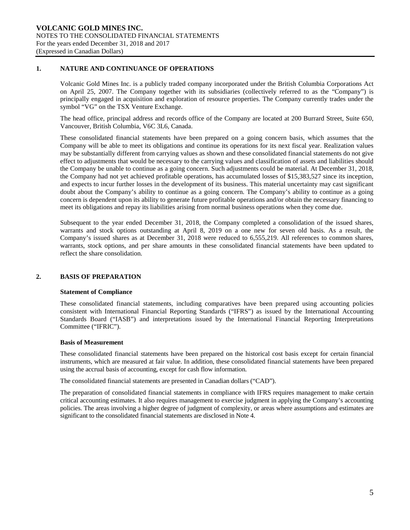# **1. NATURE AND CONTINUANCE OF OPERATIONS**

Volcanic Gold Mines Inc. is a publicly traded company incorporated under the British Columbia Corporations Act on April 25, 2007. The Company together with its subsidiaries (collectively referred to as the "Company") is principally engaged in acquisition and exploration of resource properties. The Company currently trades under the symbol "VG" on the TSX Venture Exchange.

The head office, principal address and records office of the Company are located at 200 Burrard Street, Suite 650, Vancouver, British Columbia, V6C 3L6, Canada.

These consolidated financial statements have been prepared on a going concern basis, which assumes that the Company will be able to meet its obligations and continue its operations for its next fiscal year. Realization values may be substantially different from carrying values as shown and these consolidated financial statements do not give effect to adjustments that would be necessary to the carrying values and classification of assets and liabilities should the Company be unable to continue as a going concern. Such adjustments could be material. At December 31, 2018, the Company had not yet achieved profitable operations, has accumulated losses of \$15,383,527 since its inception, and expects to incur further losses in the development of its business. This material uncertainty may cast significant doubt about the Company's ability to continue as a going concern. The Company's ability to continue as a going concern is dependent upon its ability to generate future profitable operations and/or obtain the necessary financing to meet its obligations and repay its liabilities arising from normal business operations when they come due.

Subsequent to the year ended December 31, 2018, the Company completed a consolidation of the issued shares, warrants and stock options outstanding at April 8, 2019 on a one new for seven old basis. As a result, the Company's issued shares as at December 31, 2018 were reduced to 6,555,219. All references to common shares, warrants, stock options, and per share amounts in these consolidated financial statements have been updated to reflect the share consolidation.

# **2. BASIS OF PREPARATION**

#### **Statement of Compliance**

These consolidated financial statements, including comparatives have been prepared using accounting policies consistent with International Financial Reporting Standards ("IFRS") as issued by the International Accounting Standards Board ("IASB") and interpretations issued by the International Financial Reporting Interpretations Committee ("IFRIC").

#### **Basis of Measurement**

These consolidated financial statements have been prepared on the historical cost basis except for certain financial instruments, which are measured at fair value. In addition, these consolidated financial statements have been prepared using the accrual basis of accounting, except for cash flow information.

The consolidated financial statements are presented in Canadian dollars ("CAD").

The preparation of consolidated financial statements in compliance with IFRS requires management to make certain critical accounting estimates. It also requires management to exercise judgment in applying the Company's accounting policies. The areas involving a higher degree of judgment of complexity, or areas where assumptions and estimates are significant to the consolidated financial statements are disclosed in Note 4.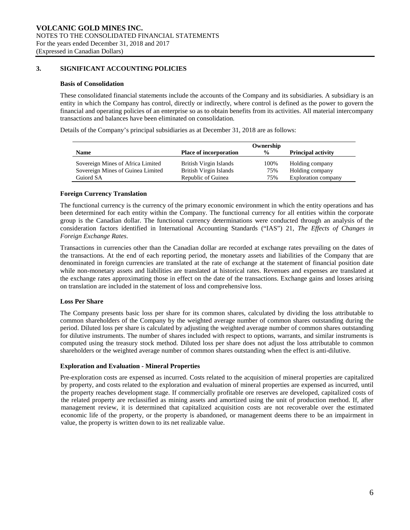# **3. SIGNIFICANT ACCOUNTING POLICIES**

#### **Basis of Consolidation**

These consolidated financial statements include the accounts of the Company and its subsidiaries. A subsidiary is an entity in which the Company has control, directly or indirectly, where control is defined as the power to govern the financial and operating policies of an enterprise so as to obtain benefits from its activities. All material intercompany transactions and balances have been eliminated on consolidation.

Details of the Company's principal subsidiaries as at December 31, 2018 are as follows:

|                                                                        |                                                  | Ownership     |                                    |
|------------------------------------------------------------------------|--------------------------------------------------|---------------|------------------------------------|
| <b>Name</b>                                                            | <b>Place of incorporation</b>                    | $\frac{0}{0}$ | <b>Principal activity</b>          |
| Sovereign Mines of Africa Limited<br>Sovereign Mines of Guinea Limited | British Virgin Islands<br>British Virgin Islands | 100%<br>75%   | Holding company<br>Holding company |
| Guiord SA                                                              | Republic of Guinea                               | 75%           | Exploration company                |

## **Foreign Currency Translation**

The functional currency is the currency of the primary economic environment in which the entity operations and has been determined for each entity within the Company. The functional currency for all entities within the corporate group is the Canadian dollar. The functional currency determinations were conducted through an analysis of the consideration factors identified in International Accounting Standards ("IAS") 21, *The Effects of Changes in Foreign Exchange Rates*.

Transactions in currencies other than the Canadian dollar are recorded at exchange rates prevailing on the dates of the transactions. At the end of each reporting period, the monetary assets and liabilities of the Company that are denominated in foreign currencies are translated at the rate of exchange at the statement of financial position date while non-monetary assets and liabilities are translated at historical rates. Revenues and expenses are translated at the exchange rates approximating those in effect on the date of the transactions. Exchange gains and losses arising on translation are included in the statement of loss and comprehensive loss.

#### **Loss Per Share**

The Company presents basic loss per share for its common shares, calculated by dividing the loss attributable to common shareholders of the Company by the weighted average number of common shares outstanding during the period. Diluted loss per share is calculated by adjusting the weighted average number of common shares outstanding for dilutive instruments. The number of shares included with respect to options, warrants, and similar instruments is computed using the treasury stock method. Diluted loss per share does not adjust the loss attributable to common shareholders or the weighted average number of common shares outstanding when the effect is anti-dilutive.

#### **Exploration and Evaluation - Mineral Properties**

Pre-exploration costs are expensed as incurred. Costs related to the acquisition of mineral properties are capitalized by property, and costs related to the exploration and evaluation of mineral properties are expensed as incurred, until the property reaches development stage. If commercially profitable ore reserves are developed, capitalized costs of the related property are reclassified as mining assets and amortized using the unit of production method. If, after management review, it is determined that capitalized acquisition costs are not recoverable over the estimated economic life of the property, or the property is abandoned, or management deems there to be an impairment in value, the property is written down to its net realizable value.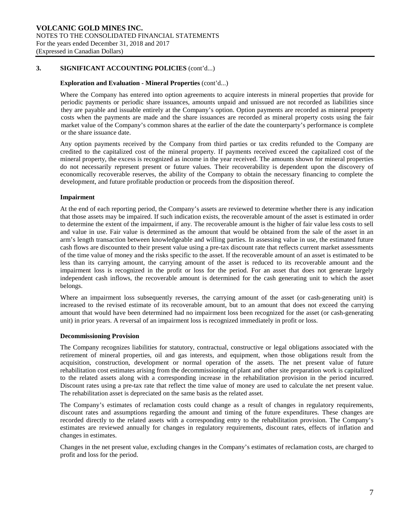## **Exploration and Evaluation - Mineral Properties** (cont'd...)

Where the Company has entered into option agreements to acquire interests in mineral properties that provide for periodic payments or periodic share issuances, amounts unpaid and unissued are not recorded as liabilities since they are payable and issuable entirely at the Company's option. Option payments are recorded as mineral property costs when the payments are made and the share issuances are recorded as mineral property costs using the fair market value of the Company's common shares at the earlier of the date the counterparty's performance is complete or the share issuance date.

Any option payments received by the Company from third parties or tax credits refunded to the Company are credited to the capitalized cost of the mineral property. If payments received exceed the capitalized cost of the mineral property, the excess is recognized as income in the year received. The amounts shown for mineral properties do not necessarily represent present or future values. Their recoverability is dependent upon the discovery of economically recoverable reserves, the ability of the Company to obtain the necessary financing to complete the development, and future profitable production or proceeds from the disposition thereof.

## **Impairment**

At the end of each reporting period, the Company's assets are reviewed to determine whether there is any indication that those assets may be impaired. If such indication exists, the recoverable amount of the asset is estimated in order to determine the extent of the impairment, if any. The recoverable amount is the higher of fair value less costs to sell and value in use. Fair value is determined as the amount that would be obtained from the sale of the asset in an arm's length transaction between knowledgeable and willing parties. In assessing value in use, the estimated future cash flows are discounted to their present value using a pre-tax discount rate that reflects current market assessments of the time value of money and the risks specific to the asset. If the recoverable amount of an asset is estimated to be less than its carrying amount, the carrying amount of the asset is reduced to its recoverable amount and the impairment loss is recognized in the profit or loss for the period. For an asset that does not generate largely independent cash inflows, the recoverable amount is determined for the cash generating unit to which the asset belongs.

Where an impairment loss subsequently reverses, the carrying amount of the asset (or cash-generating unit) is increased to the revised estimate of its recoverable amount, but to an amount that does not exceed the carrying amount that would have been determined had no impairment loss been recognized for the asset (or cash-generating unit) in prior years. A reversal of an impairment loss is recognized immediately in profit or loss.

#### **Decommissioning Provision**

The Company recognizes liabilities for statutory, contractual, constructive or legal obligations associated with the retirement of mineral properties, oil and gas interests, and equipment, when those obligations result from the acquisition, construction, development or normal operation of the assets. The net present value of future rehabilitation cost estimates arising from the decommissioning of plant and other site preparation work is capitalized to the related assets along with a corresponding increase in the rehabilitation provision in the period incurred. Discount rates using a pre-tax rate that reflect the time value of money are used to calculate the net present value. The rehabilitation asset is depreciated on the same basis as the related asset.

The Company's estimates of reclamation costs could change as a result of changes in regulatory requirements, discount rates and assumptions regarding the amount and timing of the future expenditures. These changes are recorded directly to the related assets with a corresponding entry to the rehabilitation provision. The Company's estimates are reviewed annually for changes in regulatory requirements, discount rates, effects of inflation and changes in estimates.

Changes in the net present value, excluding changes in the Company's estimates of reclamation costs, are charged to profit and loss for the period.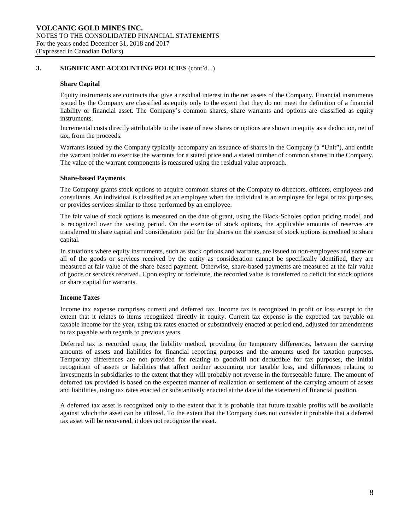## **Share Capital**

Equity instruments are contracts that give a residual interest in the net assets of the Company. Financial instruments issued by the Company are classified as equity only to the extent that they do not meet the definition of a financial liability or financial asset. The Company's common shares, share warrants and options are classified as equity instruments.

Incremental costs directly attributable to the issue of new shares or options are shown in equity as a deduction, net of tax, from the proceeds.

Warrants issued by the Company typically accompany an issuance of shares in the Company (a "Unit"), and entitle the warrant holder to exercise the warrants for a stated price and a stated number of common shares in the Company. The value of the warrant components is measured using the residual value approach.

#### **Share-based Payments**

The Company grants stock options to acquire common shares of the Company to directors, officers, employees and consultants. An individual is classified as an employee when the individual is an employee for legal or tax purposes, or provides services similar to those performed by an employee.

The fair value of stock options is measured on the date of grant, using the Black-Scholes option pricing model, and is recognized over the vesting period. On the exercise of stock options, the applicable amounts of reserves are transferred to share capital and consideration paid for the shares on the exercise of stock options is credited to share capital.

In situations where equity instruments, such as stock options and warrants, are issued to non-employees and some or all of the goods or services received by the entity as consideration cannot be specifically identified, they are measured at fair value of the share-based payment. Otherwise, share-based payments are measured at the fair value of goods or services received. Upon expiry or forfeiture, the recorded value is transferred to deficit for stock options or share capital for warrants.

# **Income Taxes**

Income tax expense comprises current and deferred tax. Income tax is recognized in profit or loss except to the extent that it relates to items recognized directly in equity. Current tax expense is the expected tax payable on taxable income for the year, using tax rates enacted or substantively enacted at period end, adjusted for amendments to tax payable with regards to previous years.

Deferred tax is recorded using the liability method, providing for temporary differences, between the carrying amounts of assets and liabilities for financial reporting purposes and the amounts used for taxation purposes. Temporary differences are not provided for relating to goodwill not deductible for tax purposes, the initial recognition of assets or liabilities that affect neither accounting nor taxable loss, and differences relating to investments in subsidiaries to the extent that they will probably not reverse in the foreseeable future. The amount of deferred tax provided is based on the expected manner of realization or settlement of the carrying amount of assets and liabilities, using tax rates enacted or substantively enacted at the date of the statement of financial position.

A deferred tax asset is recognized only to the extent that it is probable that future taxable profits will be available against which the asset can be utilized. To the extent that the Company does not consider it probable that a deferred tax asset will be recovered, it does not recognize the asset.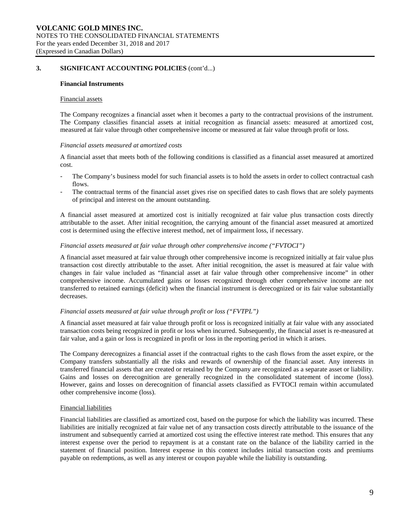#### **Financial Instruments**

#### Financial assets

The Company recognizes a financial asset when it becomes a party to the contractual provisions of the instrument. The Company classifies financial assets at initial recognition as financial assets: measured at amortized cost, measured at fair value through other comprehensive income or measured at fair value through profit or loss.

#### *Financial assets measured at amortized costs*

A financial asset that meets both of the following conditions is classified as a financial asset measured at amortized cost.

- The Company's business model for such financial assets is to hold the assets in order to collect contractual cash flows.
- The contractual terms of the financial asset gives rise on specified dates to cash flows that are solely payments of principal and interest on the amount outstanding.

A financial asset measured at amortized cost is initially recognized at fair value plus transaction costs directly attributable to the asset. After initial recognition, the carrying amount of the financial asset measured at amortized cost is determined using the effective interest method, net of impairment loss, if necessary.

#### *Financial assets measured at fair value through other comprehensive income ("FVTOCI")*

A financial asset measured at fair value through other comprehensive income is recognized initially at fair value plus transaction cost directly attributable to the asset. After initial recognition, the asset is measured at fair value with changes in fair value included as "financial asset at fair value through other comprehensive income" in other comprehensive income. Accumulated gains or losses recognized through other comprehensive income are not transferred to retained earnings (deficit) when the financial instrument is derecognized or its fair value substantially decreases.

#### *Financial assets measured at fair value through profit or loss ("FVTPL")*

A financial asset measured at fair value through profit or loss is recognized initially at fair value with any associated transaction costs being recognized in profit or loss when incurred. Subsequently, the financial asset is re-measured at fair value, and a gain or loss is recognized in profit or loss in the reporting period in which it arises.

The Company derecognizes a financial asset if the contractual rights to the cash flows from the asset expire, or the Company transfers substantially all the risks and rewards of ownership of the financial asset. Any interests in transferred financial assets that are created or retained by the Company are recognized as a separate asset or liability. Gains and losses on derecognition are generally recognized in the consolidated statement of income (loss). However, gains and losses on derecognition of financial assets classified as FVTOCI remain within accumulated other comprehensive income (loss).

## Financial liabilities

Financial liabilities are classified as amortized cost, based on the purpose for which the liability was incurred. These liabilities are initially recognized at fair value net of any transaction costs directly attributable to the issuance of the instrument and subsequently carried at amortized cost using the effective interest rate method. This ensures that any interest expense over the period to repayment is at a constant rate on the balance of the liability carried in the statement of financial position. Interest expense in this context includes initial transaction costs and premiums payable on redemptions, as well as any interest or coupon payable while the liability is outstanding.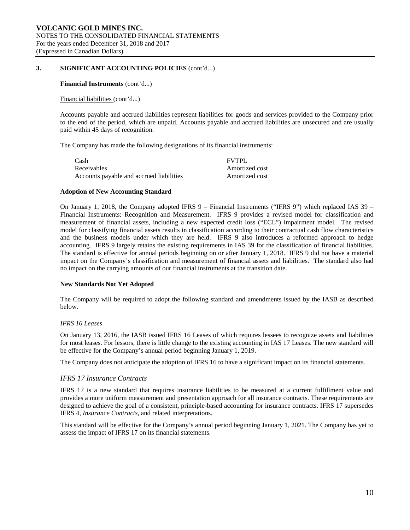#### **Financial Instruments** (cont'd...)

#### Financial liabilities (cont'd...)

Accounts payable and accrued liabilities represent liabilities for goods and services provided to the Company prior to the end of the period, which are unpaid. Accounts payable and accrued liabilities are unsecured and are usually paid within 45 days of recognition.

The Company has made the following designations of its financial instruments:

| Cash                                     | <b>FVTPL</b>   |
|------------------------------------------|----------------|
| Receivables                              | Amortized cost |
| Accounts payable and accrued liabilities | Amortized cost |

# **Adoption of New Accounting Standard**

On January 1, 2018, the Company adopted IFRS 9 – Financial Instruments ("IFRS 9") which replaced IAS 39 – Financial Instruments: Recognition and Measurement. IFRS 9 provides a revised model for classification and measurement of financial assets, including a new expected credit loss ("ECL") impairment model. The revised model for classifying financial assets results in classification according to their contractual cash flow characteristics and the business models under which they are held. IFRS 9 also introduces a reformed approach to hedge accounting. IFRS 9 largely retains the existing requirements in IAS 39 for the classification of financial liabilities. The standard is effective for annual periods beginning on or after January 1, 2018. IFRS 9 did not have a material impact on the Company's classification and measurement of financial assets and liabilities. The standard also had no impact on the carrying amounts of our financial instruments at the transition date.

#### **New Standards Not Yet Adopted**

The Company will be required to adopt the following standard and amendments issued by the IASB as described below.

#### *IFRS 16 Leases*

On January 13, 2016, the IASB issued IFRS 16 Leases of which requires lessees to recognize assets and liabilities for most leases. For lessors, there is little change to the existing accounting in IAS 17 Leases. The new standard will be effective for the Company's annual period beginning January 1, 2019.

The Company does not anticipate the adoption of IFRS 16 to have a significant impact on its financial statements.

#### *IFRS 17 Insurance Contracts*

IFRS 17 is a new standard that requires insurance liabilities to be measured at a current fulfillment value and provides a more uniform measurement and presentation approach for all insurance contracts. These requirements are designed to achieve the goal of a consistent, principle-based accounting for insurance contracts. IFRS 17 supersedes IFRS 4, *Insurance Contracts*, and related interpretations.

This standard will be effective for the Company's annual period beginning January 1, 2021. The Company has yet to assess the impact of IFRS 17 on its financial statements.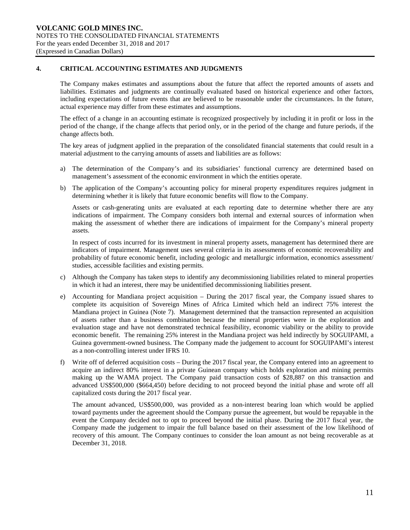# **4. CRITICAL ACCOUNTING ESTIMATES AND JUDGMENTS**

The Company makes estimates and assumptions about the future that affect the reported amounts of assets and liabilities. Estimates and judgments are continually evaluated based on historical experience and other factors, including expectations of future events that are believed to be reasonable under the circumstances. In the future, actual experience may differ from these estimates and assumptions.

The effect of a change in an accounting estimate is recognized prospectively by including it in profit or loss in the period of the change, if the change affects that period only, or in the period of the change and future periods, if the change affects both.

The key areas of judgment applied in the preparation of the consolidated financial statements that could result in a material adjustment to the carrying amounts of assets and liabilities are as follows:

- a) The determination of the Company's and its subsidiaries' functional currency are determined based on management's assessment of the economic environment in which the entities operate.
- b) The application of the Company's accounting policy for mineral property expenditures requires judgment in determining whether it is likely that future economic benefits will flow to the Company.

Assets or cash-generating units are evaluated at each reporting date to determine whether there are any indications of impairment. The Company considers both internal and external sources of information when making the assessment of whether there are indications of impairment for the Company's mineral property assets.

In respect of costs incurred for its investment in mineral property assets, management has determined there are indicators of impairment. Management uses several criteria in its assessments of economic recoverability and probability of future economic benefit, including geologic and metallurgic information, economics assessment/ studies, accessible facilities and existing permits.

- c) Although the Company has taken steps to identify any decommissioning liabilities related to mineral properties in which it had an interest, there may be unidentified decommissioning liabilities present.
- e) Accounting for Mandiana project acquisition During the 2017 fiscal year, the Company issued shares to complete its acquisition of Sovereign Mines of Africa Limited which held an indirect 75% interest the Mandiana project in Guinea (Note 7). Management determined that the transaction represented an acquisition of assets rather than a business combination because the mineral properties were in the exploration and evaluation stage and have not demonstrated technical feasibility, economic viability or the ability to provide economic benefit. The remaining 25% interest in the Mandiana project was held indirectly by SOGUIPAMI, a Guinea government-owned business. The Company made the judgement to account for SOGUIPAMI's interest as a non-controlling interest under IFRS 10.
- f) Write off of deferred acquisition costs During the 2017 fiscal year, the Company entered into an agreement to acquire an indirect 80% interest in a private Guinean company which holds exploration and mining permits making up the WAMA project. The Company paid transaction costs of \$28,887 on this transaction and advanced US\$500,000 (\$664,450) before deciding to not proceed beyond the initial phase and wrote off all capitalized costs during the 2017 fiscal year.

The amount advanced, US\$500,000, was provided as a non-interest bearing loan which would be applied toward payments under the agreement should the Company pursue the agreement, but would be repayable in the event the Company decided not to opt to proceed beyond the initial phase. During the 2017 fiscal year, the Company made the judgement to impair the full balance based on their assessment of the low likelihood of recovery of this amount. The Company continues to consider the loan amount as not being recoverable as at December 31, 2018.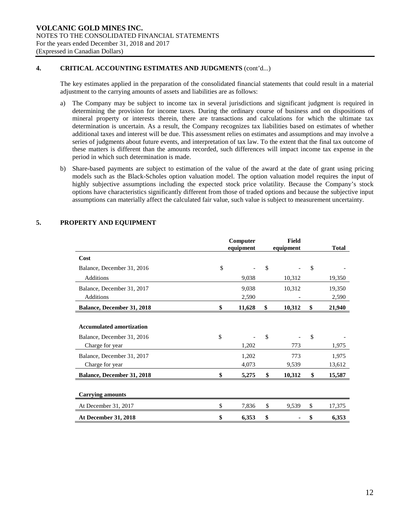# **4. CRITICAL ACCOUNTING ESTIMATES AND JUDGMENTS** (cont'd...)

The key estimates applied in the preparation of the consolidated financial statements that could result in a material adjustment to the carrying amounts of assets and liabilities are as follows:

- a) The Company may be subject to income tax in several jurisdictions and significant judgment is required in determining the provision for income taxes. During the ordinary course of business and on dispositions of mineral property or interests therein, there are transactions and calculations for which the ultimate tax determination is uncertain. As a result, the Company recognizes tax liabilities based on estimates of whether additional taxes and interest will be due. This assessment relies on estimates and assumptions and may involve a series of judgments about future events, and interpretation of tax law. To the extent that the final tax outcome of these matters is different than the amounts recorded, such differences will impact income tax expense in the period in which such determination is made.
- b) Share-based payments are subject to estimation of the value of the award at the date of grant using pricing models such as the Black-Scholes option valuation model. The option valuation model requires the input of highly subjective assumptions including the expected stock price volatility. Because the Company's stock options have characteristics significantly different from those of traded options and because the subjective input assumptions can materially affect the calculated fair value, such value is subject to measurement uncertainty.

|                                   | Computer<br>equipment | <b>Field</b><br>equipment | <b>Total</b> |
|-----------------------------------|-----------------------|---------------------------|--------------|
| Cost                              |                       |                           |              |
| Balance, December 31, 2016        | \$                    | \$                        | \$           |
| Additions                         | 9,038                 | 10,312                    | 19,350       |
| Balance, December 31, 2017        | 9,038                 | 10,312                    | 19,350       |
| <b>Additions</b>                  | 2,590                 |                           | 2,590        |
| <b>Balance, December 31, 2018</b> | \$<br>11,628          | \$<br>10,312              | \$<br>21,940 |
|                                   |                       |                           |              |
| <b>Accumulated amortization</b>   |                       |                           |              |
| Balance, December 31, 2016        | \$                    | \$                        | \$           |
| Charge for year                   | 1,202                 | 773                       | 1,975        |
| Balance, December 31, 2017        | 1,202                 | 773                       | 1,975        |
| Charge for year                   | 4,073                 | 9,539                     | 13,612       |
| <b>Balance, December 31, 2018</b> | \$<br>5,275           | \$<br>10,312              | \$<br>15,587 |
|                                   |                       |                           |              |
| <b>Carrying amounts</b>           |                       |                           |              |
| At December 31, 2017              | \$<br>7,836           | \$<br>9,539               | \$<br>17,375 |
| At December 31, 2018              | \$<br>6,353           | \$                        | \$<br>6,353  |

# **5. PROPERTY AND EQUIPMENT**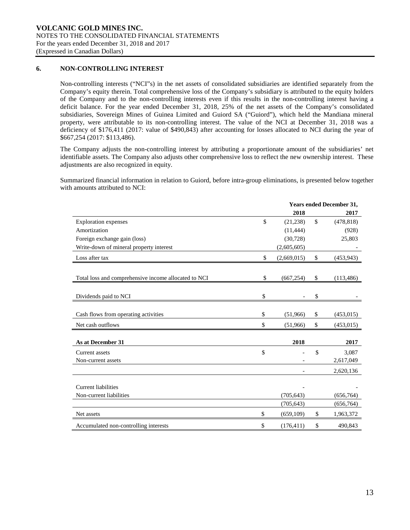# **6. NON-CONTROLLING INTEREST**

Non-controlling interests ("NCI"s) in the net assets of consolidated subsidiaries are identified separately from the Company's equity therein. Total comprehensive loss of the Company's subsidiary is attributed to the equity holders of the Company and to the non-controlling interests even if this results in the non-controlling interest having a deficit balance. For the year ended December 31, 2018, 25% of the net assets of the Company's consolidated subsidiaries, Sovereign Mines of Guinea Limited and Guiord SA ("Guiord"), which held the Mandiana mineral property, were attributable to its non-controlling interest. The value of the NCI at December 31, 2018 was a deficiency of \$176,411 (2017: value of \$490,843) after accounting for losses allocated to NCI during the year of \$667,254 (2017: \$113,486).

The Company adjusts the non-controlling interest by attributing a proportionate amount of the subsidiaries' net identifiable assets. The Company also adjusts other comprehensive loss to reflect the new ownership interest. These adjustments are also recognized in equity.

Summarized financial information in relation to Guiord, before intra-group eliminations, is presented below together with amounts attributed to NCI:

|                                                      |               | <b>Years ended December 31,</b> |               |            |  |
|------------------------------------------------------|---------------|---------------------------------|---------------|------------|--|
|                                                      |               | 2018                            |               | 2017       |  |
| <b>Exploration</b> expenses                          | $\mathcal{S}$ | (21, 238)                       | $\mathcal{S}$ | (478, 818) |  |
| Amortization                                         |               | (11, 444)                       |               | (928)      |  |
| Foreign exchange gain (loss)                         |               | (30, 728)                       |               | 25,803     |  |
| Write-down of mineral property interest              |               | (2,605,605)                     |               |            |  |
| Loss after tax                                       | \$            | (2,669,015)                     | \$            | (453, 943) |  |
| Total loss and comprehensive income allocated to NCI | \$            | (667, 254)                      | \$            | (113, 486) |  |
|                                                      |               |                                 |               |            |  |
| Dividends paid to NCI                                | \$            |                                 | \$            |            |  |
|                                                      |               |                                 |               |            |  |
| Cash flows from operating activities                 | \$            | (51,966)                        | \$            | (453, 015) |  |
| Net cash outflows                                    | \$            | (51,966)                        | \$            | (453, 015) |  |
| As at December 31                                    |               | 2018                            |               | 2017       |  |
| Current assets                                       | \$            |                                 | \$            | 3,087      |  |
| Non-current assets                                   |               |                                 |               | 2,617,049  |  |
|                                                      |               |                                 |               | 2,620,136  |  |
| <b>Current liabilities</b>                           |               |                                 |               |            |  |
| Non-current liabilities                              |               | (705, 643)                      |               | (656, 764) |  |
|                                                      |               | (705, 643)                      |               | (656, 764) |  |
| Net assets                                           | \$            | (659, 109)                      | \$            | 1,963,372  |  |
| Accumulated non-controlling interests                | \$            | (176, 411)                      | \$            | 490,843    |  |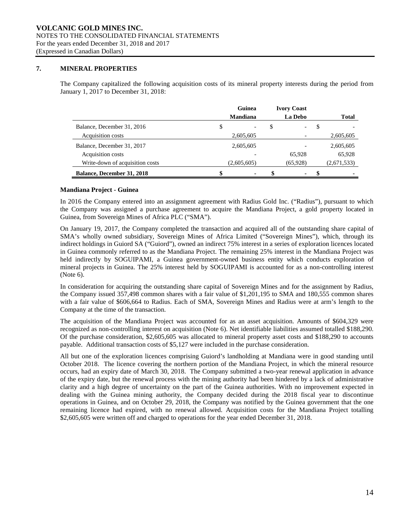# **7. MINERAL PROPERTIES**

The Company capitalized the following acquisition costs of its mineral property interests during the period from January 1, 2017 to December 31, 2018:

|                                   | Guinea          | <b>Ivory Coast</b> |    |              |
|-----------------------------------|-----------------|--------------------|----|--------------|
|                                   | <b>Mandiana</b> | La Debo            |    | <b>Total</b> |
| Balance, December 31, 2016        | \$              | \$<br>-            | \$ |              |
| Acquisition costs                 | 2,605,605       |                    |    | 2,605,605    |
| Balance, December 31, 2017        | 2,605,605       |                    |    | 2,605,605    |
| Acquisition costs                 |                 | 65.928             |    | 65,928       |
| Write-down of acquisition costs   | (2,605,605)     | (65,928)           |    | (2,671,533)  |
| <b>Balance, December 31, 2018</b> | \$              | \$<br>۰            | S  |              |

## **Mandiana Project - Guinea**

In 2016 the Company entered into an assignment agreement with Radius Gold Inc. ("Radius"), pursuant to which the Company was assigned a purchase agreement to acquire the Mandiana Project, a gold property located in Guinea, from Sovereign Mines of Africa PLC ("SMA").

On January 19, 2017, the Company completed the transaction and acquired all of the outstanding share capital of SMA's wholly owned subsidiary, Sovereign Mines of Africa Limited ("Sovereign Mines"), which, through its indirect holdings in Guiord SA ("Guiord"), owned an indirect 75% interest in a series of exploration licences located in Guinea commonly referred to as the Mandiana Project. The remaining 25% interest in the Mandiana Project was held indirectly by SOGUIPAMI, a Guinea government-owned business entity which conducts exploration of mineral projects in Guinea. The 25% interest held by SOGUIPAMI is accounted for as a non-controlling interest (Note 6).

In consideration for acquiring the outstanding share capital of Sovereign Mines and for the assignment by Radius, the Company issued 357,498 common shares with a fair value of \$1,201,195 to SMA and 180,555 common shares with a fair value of \$606,664 to Radius. Each of SMA, Sovereign Mines and Radius were at arm's length to the Company at the time of the transaction.

The acquisition of the Mandiana Project was accounted for as an asset acquisition. Amounts of \$604,329 were recognized as non-controlling interest on acquisition (Note 6). Net identifiable liabilities assumed totalled \$188,290. Of the purchase consideration, \$2,605,605 was allocated to mineral property asset costs and \$188,290 to accounts payable. Additional transaction costs of \$5,127 were included in the purchase consideration.

All but one of the exploration licences comprising Guiord's landholding at Mandiana were in good standing until October 2018. The licence covering the northern portion of the Mandiana Project, in which the mineral resource occurs, had an expiry date of March 30, 2018. The Company submitted a two-year renewal application in advance of the expiry date, but the renewal process with the mining authority had been hindered by a lack of administrative clarity and a high degree of uncertainty on the part of the Guinea authorities. With no improvement expected in dealing with the Guinea mining authority, the Company decided during the 2018 fiscal year to discontinue operations in Guinea, and on October 29, 2018, the Company was notified by the Guinea government that the one remaining licence had expired, with no renewal allowed. Acquisition costs for the Mandiana Project totalling \$2,605,605 were written off and charged to operations for the year ended December 31, 2018.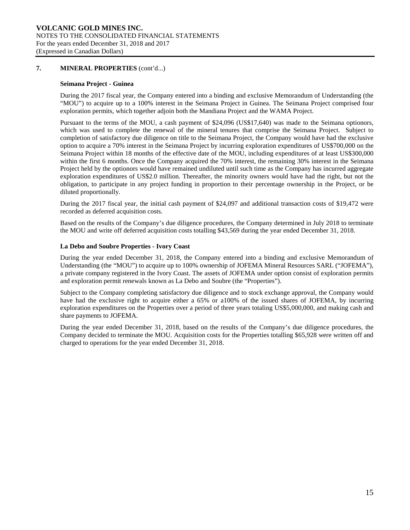# **7. MINERAL PROPERTIES** (cont'd...)

#### **Seimana Project - Guinea**

During the 2017 fiscal year, the Company entered into a binding and exclusive Memorandum of Understanding (the "MOU") to acquire up to a 100% interest in the Seimana Project in Guinea. The Seimana Project comprised four exploration permits, which together adjoin both the Mandiana Project and the WAMA Project.

Pursuant to the terms of the MOU, a cash payment of \$24,096 (US\$17,640) was made to the Seimana optionors, which was used to complete the renewal of the mineral tenures that comprise the Seimana Project. Subject to completion of satisfactory due diligence on title to the Seimana Project, the Company would have had the exclusive option to acquire a 70% interest in the Seimana Project by incurring exploration expenditures of US\$700,000 on the Seimana Project within 18 months of the effective date of the MOU, including expenditures of at least US\$300,000 within the first 6 months. Once the Company acquired the 70% interest, the remaining 30% interest in the Seimana Project held by the optionors would have remained undiluted until such time as the Company has incurred aggregate exploration expenditures of US\$2.0 million. Thereafter, the minority owners would have had the right, but not the obligation, to participate in any project funding in proportion to their percentage ownership in the Project, or be diluted proportionally.

During the 2017 fiscal year, the initial cash payment of \$24,097 and additional transaction costs of \$19,472 were recorded as deferred acquisition costs.

Based on the results of the Company's due diligence procedures, the Company determined in July 2018 to terminate the MOU and write off deferred acquisition costs totalling \$43,569 during the year ended December 31, 2018.

## **La Debo and Soubre Properties - Ivory Coast**

During the year ended December 31, 2018, the Company entered into a binding and exclusive Memorandum of Understanding (the "MOU") to acquire up to 100% ownership of JOFEMA Mineral Resources SARL ("JOFEMA"), a private company registered in the Ivory Coast. The assets of JOFEMA under option consist of exploration permits and exploration permit renewals known as La Debo and Soubre (the "Properties").

Subject to the Company completing satisfactory due diligence and to stock exchange approval, the Company would have had the exclusive right to acquire either a 65% or a100% of the issued shares of JOFEMA, by incurring exploration expenditures on the Properties over a period of three years totaling US\$5,000,000, and making cash and share payments to JOFEMA.

During the year ended December 31, 2018, based on the results of the Company's due diligence procedures, the Company decided to terminate the MOU. Acquisition costs for the Properties totalling \$65,928 were written off and charged to operations for the year ended December 31, 2018.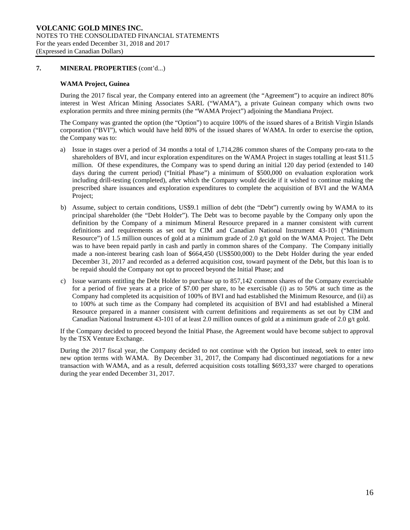## **7. MINERAL PROPERTIES** (cont'd...)

## **WAMA Project, Guinea**

During the 2017 fiscal year, the Company entered into an agreement (the "Agreement") to acquire an indirect 80% interest in West African Mining Associates SARL ("WAMA"), a private Guinean company which owns two exploration permits and three mining permits (the "WAMA Project") adjoining the Mandiana Project.

The Company was granted the option (the "Option") to acquire 100% of the issued shares of a British Virgin Islands corporation ("BVI"), which would have held 80% of the issued shares of WAMA. In order to exercise the option, the Company was to:

- a) Issue in stages over a period of 34 months a total of 1,714,286 common shares of the Company pro-rata to the shareholders of BVI, and incur exploration expenditures on the WAMA Project in stages totalling at least \$11.5 million. Of these expenditures, the Company was to spend during an initial 120 day period (extended to 140 days during the current period) ("Initial Phase") a minimum of \$500,000 on evaluation exploration work including drill-testing (completed), after which the Company would decide if it wished to continue making the prescribed share issuances and exploration expenditures to complete the acquisition of BVI and the WAMA Project;
- b) Assume, subject to certain conditions, US\$9.1 million of debt (the "Debt") currently owing by WAMA to its principal shareholder (the "Debt Holder"). The Debt was to become payable by the Company only upon the definition by the Company of a minimum Mineral Resource prepared in a manner consistent with current definitions and requirements as set out by CIM and Canadian National Instrument 43-101 ("Minimum Resource") of 1.5 million ounces of gold at a minimum grade of 2.0  $g/t$  gold on the WAMA Project. The Debt was to have been repaid partly in cash and partly in common shares of the Company. The Company initially made a non-interest bearing cash loan of \$664,450 (US\$500,000) to the Debt Holder during the year ended December 31, 2017 and recorded as a deferred acquisition cost, toward payment of the Debt, but this loan is to be repaid should the Company not opt to proceed beyond the Initial Phase; and
- c) Issue warrants entitling the Debt Holder to purchase up to 857,142 common shares of the Company exercisable for a period of five years at a price of \$7.00 per share, to be exercisable (i) as to 50% at such time as the Company had completed its acquisition of 100% of BVI and had established the Minimum Resource, and (ii) as to 100% at such time as the Company had completed its acquisition of BVI and had established a Mineral Resource prepared in a manner consistent with current definitions and requirements as set out by CIM and Canadian National Instrument 43-101 of at least 2.0 million ounces of gold at a minimum grade of 2.0 g/t gold.

If the Company decided to proceed beyond the Initial Phase, the Agreement would have become subject to approval by the TSX Venture Exchange.

During the 2017 fiscal year, the Company decided to not continue with the Option but instead, seek to enter into new option terms with WAMA. By December 31, 2017, the Company had discontinued negotiations for a new transaction with WAMA, and as a result, deferred acquisition costs totalling \$693,337 were charged to operations during the year ended December 31, 2017.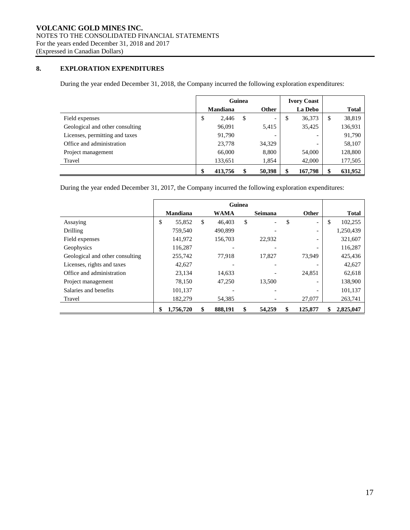# **8. EXPLORATION EXPENDITURES**

During the year ended December 31, 2018, the Company incurred the following exploration expenditures:

|                                 | Guinea |                 |   |                          |                | <b>Ivory Coast</b> |              |         |
|---------------------------------|--------|-----------------|---|--------------------------|----------------|--------------------|--------------|---------|
|                                 |        | <b>Mandiana</b> |   | <b>Other</b>             | <b>La Debo</b> |                    | <b>Total</b> |         |
| Field expenses                  | œ<br>Φ | 2.446           | S | $\overline{\phantom{0}}$ | \$             | 36,373             | S            | 38,819  |
| Geological and other consulting |        | 96,091          |   | 5,415                    |                | 35,425             |              | 136,931 |
| Licenses, permitting and taxes  |        | 91,790          |   |                          |                |                    |              | 91,790  |
| Office and administration       |        | 23,778          |   | 34,329                   |                |                    |              | 58,107  |
| Project management              |        | 66,000          |   | 8,800                    |                | 54,000             |              | 128,800 |
| Travel                          |        | 133,651         |   | 1,854                    |                | 42,000             |              | 177,505 |
|                                 |        | 413,756         |   | 50,398                   | \$             | 167,798            | \$           | 631,952 |

During the year ended December 31, 2017, the Company incurred the following exploration expenditures:

|                                 | Guinea |                 |    |             |    |         |                                |               |
|---------------------------------|--------|-----------------|----|-------------|----|---------|--------------------------------|---------------|
|                                 |        | <b>Mandiana</b> |    | <b>WAMA</b> |    | Seimana | <b>Other</b>                   | <b>Total</b>  |
| Assaying                        | \$     | 55.852          | \$ | 46,403      | \$ |         | \$<br>$\overline{\phantom{a}}$ | \$<br>102,255 |
| Drilling                        |        | 759,540         |    | 490.899     |    |         | $\overline{\phantom{a}}$       | 1,250,439     |
| Field expenses                  |        | 141,972         |    | 156,703     |    | 22.932  |                                | 321,607       |
| Geophysics                      |        | 116,287         |    |             |    |         |                                | 116,287       |
| Geological and other consulting |        | 255,742         |    | 77.918      |    | 17,827  | 73,949                         | 425,436       |
| Licenses, rights and taxes      |        | 42,627          |    |             |    |         |                                | 42,627        |
| Office and administration       |        | 23,134          |    | 14,633      |    |         | 24,851                         | 62,618        |
| Project management              |        | 78,150          |    | 47,250      |    | 13,500  | $\overline{\phantom{0}}$       | 138,900       |
| Salaries and benefits           |        | 101,137         |    |             |    |         |                                | 101,137       |
| Travel                          |        | 182,279         |    | 54,385      |    |         | 27,077                         | 263,741       |
|                                 | \$     | 1,756,720       | \$ | 888,191     | \$ | 54,259  | \$<br>125,877                  | 2,825,047     |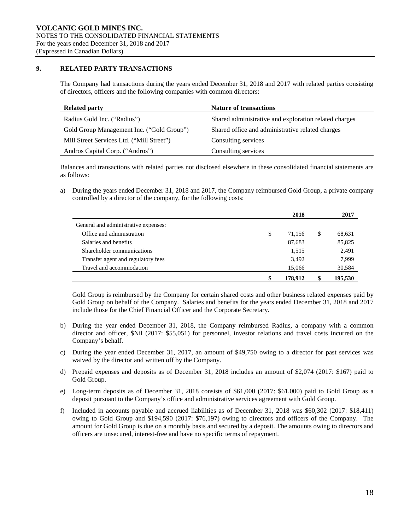# **9. RELATED PARTY TRANSACTIONS**

The Company had transactions during the years ended December 31, 2018 and 2017 with related parties consisting of directors, officers and the following companies with common directors:

| <b>Related party</b>                      | <b>Nature of transactions</b>                         |
|-------------------------------------------|-------------------------------------------------------|
| Radius Gold Inc. ("Radius")               | Shared administrative and exploration related charges |
| Gold Group Management Inc. ("Gold Group") | Shared office and administrative related charges      |
| Mill Street Services Ltd. ("Mill Street") | Consulting services                                   |
| Andros Capital Corp. ("Andros")           | Consulting services                                   |

Balances and transactions with related parties not disclosed elsewhere in these consolidated financial statements are as follows:

a) During the years ended December 31, 2018 and 2017, the Company reimbursed Gold Group, a private company controlled by a director of the company, for the following costs:

|                                      | 2018          |    | 2017    |
|--------------------------------------|---------------|----|---------|
| General and administrative expenses: |               |    |         |
| Office and administration            | \$<br>71,156  | \$ | 68,631  |
| Salaries and benefits                | 87,683        |    | 85,825  |
| Shareholder communications           | 1,515         |    | 2,491   |
| Transfer agent and regulatory fees   | 3,492         |    | 7,999   |
| Travel and accommodation             | 15,066        |    | 30,584  |
|                                      | \$<br>178.912 | S  | 195,530 |

Gold Group is reimbursed by the Company for certain shared costs and other business related expenses paid by Gold Group on behalf of the Company. Salaries and benefits for the years ended December 31, 2018 and 2017 include those for the Chief Financial Officer and the Corporate Secretary.

- b) During the year ended December 31, 2018, the Company reimbursed Radius, a company with a common director and officer, \$Nil (2017: \$55,051) for personnel, investor relations and travel costs incurred on the Company's behalf.
- c) During the year ended December 31, 2017, an amount of \$49,750 owing to a director for past services was waived by the director and written off by the Company.
- d) Prepaid expenses and deposits as of December 31, 2018 includes an amount of \$2,074 (2017: \$167) paid to Gold Group.
- e) Long-term deposits as of December 31, 2018 consists of \$61,000 (2017: \$61,000) paid to Gold Group as a deposit pursuant to the Company's office and administrative services agreement with Gold Group.
- f) Included in accounts payable and accrued liabilities as of December 31, 2018 was \$60,302 (2017: \$18,411) owing to Gold Group and \$194,590 (2017: \$76,197) owing to directors and officers of the Company. The amount for Gold Group is due on a monthly basis and secured by a deposit. The amounts owing to directors and officers are unsecured, interest-free and have no specific terms of repayment.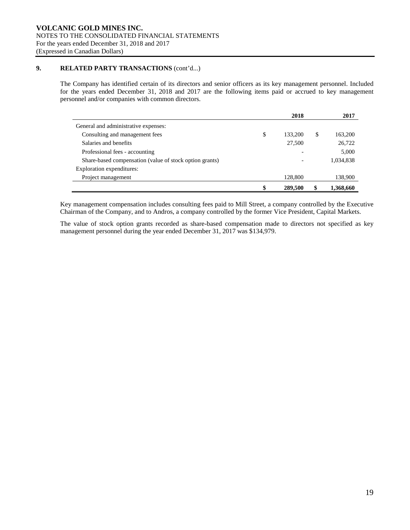# **9. RELATED PARTY TRANSACTIONS** (cont'd...)

The Company has identified certain of its directors and senior officers as its key management personnel. Included for the years ended December 31, 2018 and 2017 are the following items paid or accrued to key management personnel and/or companies with common directors.

|                                                         | 2018          | 2017          |
|---------------------------------------------------------|---------------|---------------|
| General and administrative expenses:                    |               |               |
| Consulting and management fees                          | \$<br>133,200 | \$<br>163,200 |
| Salaries and benefits                                   | 27,500        | 26,722        |
| Professional fees - accounting                          |               | 5,000         |
| Share-based compensation (value of stock option grants) |               | 1,034,838     |
| Exploration expenditures:                               |               |               |
| Project management                                      | 128,800       | 138,900       |
|                                                         | \$<br>289,500 | 1,368,660     |

Key management compensation includes consulting fees paid to Mill Street, a company controlled by the Executive Chairman of the Company, and to Andros, a company controlled by the former Vice President, Capital Markets.

The value of stock option grants recorded as share-based compensation made to directors not specified as key management personnel during the year ended December 31, 2017 was \$134,979.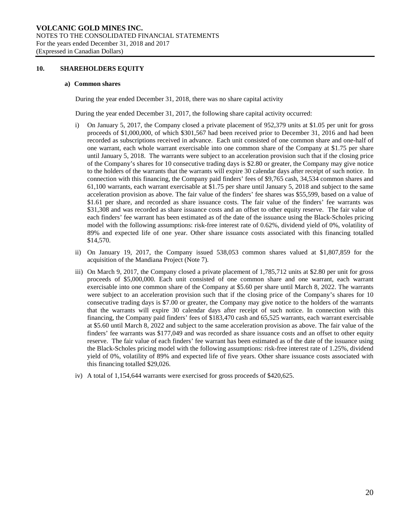#### **10. SHAREHOLDERS EQUITY**

#### **a) Common shares**

During the year ended December 31, 2018, there was no share capital activity

During the year ended December 31, 2017, the following share capital activity occurred:

- i) On January 5, 2017, the Company closed a private placement of 952,379 units at \$1.05 per unit for gross proceeds of \$1,000,000, of which \$301,567 had been received prior to December 31, 2016 and had been recorded as subscriptions received in advance. Each unit consisted of one common share and one-half of one warrant, each whole warrant exercisable into one common share of the Company at \$1.75 per share until January 5, 2018. The warrants were subject to an acceleration provision such that if the closing price of the Company's shares for 10 consecutive trading days is \$2.80 or greater, the Company may give notice to the holders of the warrants that the warrants will expire 30 calendar days after receipt of such notice. In connection with this financing, the Company paid finders' fees of \$9,765 cash, 34,534 common shares and 61,100 warrants, each warrant exercisable at \$1.75 per share until January 5, 2018 and subject to the same acceleration provision as above. The fair value of the finders' fee shares was \$55,599, based on a value of \$1.61 per share, and recorded as share issuance costs. The fair value of the finders' fee warrants was \$31,308 and was recorded as share issuance costs and an offset to other equity reserve. The fair value of each finders' fee warrant has been estimated as of the date of the issuance using the Black-Scholes pricing model with the following assumptions: risk-free interest rate of 0.62%, dividend yield of 0%, volatility of 89% and expected life of one year. Other share issuance costs associated with this financing totalled \$14,570.
- ii) On January 19, 2017, the Company issued 538,053 common shares valued at \$1,807,859 for the acquisition of the Mandiana Project (Note 7).
- iii) On March 9, 2017, the Company closed a private placement of 1,785,712 units at \$2.80 per unit for gross proceeds of \$5,000,000. Each unit consisted of one common share and one warrant, each warrant exercisable into one common share of the Company at \$5.60 per share until March 8, 2022. The warrants were subject to an acceleration provision such that if the closing price of the Company's shares for 10 consecutive trading days is \$7.00 or greater, the Company may give notice to the holders of the warrants that the warrants will expire 30 calendar days after receipt of such notice. In connection with this financing, the Company paid finders' fees of \$183,470 cash and 65,525 warrants, each warrant exercisable at \$5.60 until March 8, 2022 and subject to the same acceleration provision as above. The fair value of the finders' fee warrants was \$177,049 and was recorded as share issuance costs and an offset to other equity reserve. The fair value of each finders' fee warrant has been estimated as of the date of the issuance using the Black-Scholes pricing model with the following assumptions: risk-free interest rate of 1.25%, dividend yield of 0%, volatility of 89% and expected life of five years. Other share issuance costs associated with this financing totalled \$29,026.
- iv) A total of 1,154,644 warrants were exercised for gross proceeds of \$420,625.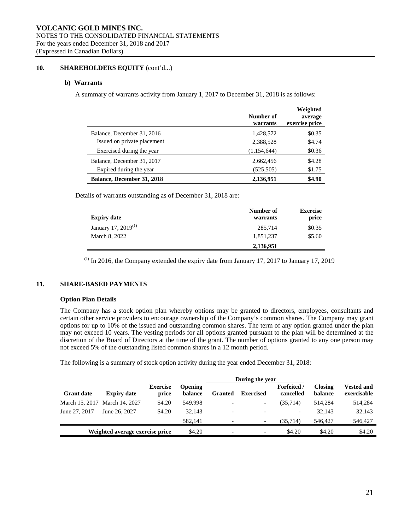# 10. **SHAREHOLDERS EQUITY** (cont'd...)

#### **b) Warrants**

A summary of warrants activity from January 1, 2017 to December 31, 2018 is as follows:

|                                   | Number of<br>warrants | Weighted<br>average<br>exercise price |
|-----------------------------------|-----------------------|---------------------------------------|
| Balance, December 31, 2016        | 1,428,572             | \$0.35                                |
| Issued on private placement       | 2,388,528             | \$4.74                                |
| Exercised during the year         | (1,154,644)           | \$0.36                                |
| Balance, December 31, 2017        | 2,662,456             | \$4.28                                |
| Expired during the year           | (525, 505)            | \$1.75                                |
| <b>Balance, December 31, 2018</b> | 2,136,951             | \$4.90                                |

Details of warrants outstanding as of December 31, 2018 are:

|                           | Number of | <b>Exercise</b> |
|---------------------------|-----------|-----------------|
| <b>Expiry date</b>        | warrants  | price           |
| January 17, 2019 $^{(1)}$ | 285,714   | \$0.35          |
| March 8, 2022             | 1,851,237 | \$5.60          |
|                           | 2,136,951 |                 |

 $<sup>(1)</sup>$  In 2016, the Company extended the expiry date from January 17, 2017 to January 17, 2019</sup>

# **11. SHARE-BASED PAYMENTS**

#### **Option Plan Details**

The Company has a stock option plan whereby options may be granted to directors, employees, consultants and certain other service providers to encourage ownership of the Company's common shares. The Company may grant options for up to 10% of the issued and outstanding common shares. The term of any option granted under the plan may not exceed 10 years. The vesting periods for all options granted pursuant to the plan will be determined at the discretion of the Board of Directors at the time of the grant. The number of options granted to any one person may not exceed 5% of the outstanding listed common shares in a 12 month period.

The following is a summary of stock option activity during the year ended December 31, 2018:

|                   |                                 |                          |                           | During the year          |                          |                                 |                           |                                  |
|-------------------|---------------------------------|--------------------------|---------------------------|--------------------------|--------------------------|---------------------------------|---------------------------|----------------------------------|
| <b>Grant date</b> | <b>Expiry date</b>              | <b>Exercise</b><br>price | <b>Opening</b><br>balance | Granted                  | <b>Exercised</b>         | <b>Forfeited</b> /<br>cancelled | <b>Closing</b><br>balance | <b>Vested and</b><br>exercisable |
|                   | March 15, 2017 March 14, 2027   | \$4.20                   | 549.998                   |                          | $\overline{\phantom{0}}$ | (35.714)                        | 514.284                   | 514,284                          |
| June 27, 2017     | June 26, 2027                   | \$4.20                   | 32.143                    |                          | $\overline{\phantom{a}}$ | $\overline{\phantom{a}}$        | 32.143                    | 32.143                           |
|                   |                                 |                          | 582,141                   | $\overline{\phantom{0}}$ | $\overline{\phantom{a}}$ | (35.714)                        | 546,427                   | 546,427                          |
|                   | Weighted average exercise price |                          | \$4.20                    | $\overline{\phantom{0}}$ | $\overline{\phantom{a}}$ | \$4.20                          | \$4.20                    | \$4.20                           |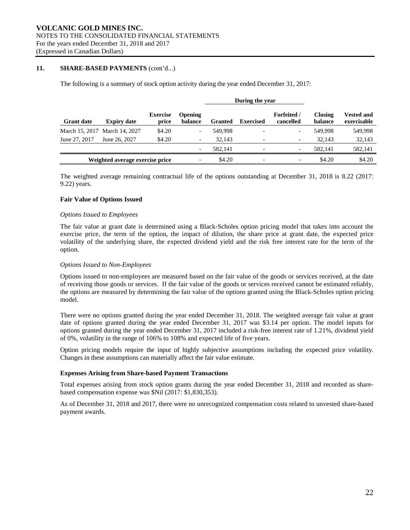#### **11. SHARE-BASED PAYMENTS** (cont'd...)

The following is a summary of stock option activity during the year ended December 31, 2017:

|                   |                                 |                          |                           | During the year |                  |                                 |                           |                                  |
|-------------------|---------------------------------|--------------------------|---------------------------|-----------------|------------------|---------------------------------|---------------------------|----------------------------------|
| <b>Grant date</b> | <b>Expiry date</b>              | <b>Exercise</b><br>price | <b>Opening</b><br>balance | <b>Granted</b>  | <b>Exercised</b> | <b>Forfeited</b> /<br>cancelled | <b>Closing</b><br>balance | <b>Vested and</b><br>exercisable |
|                   | March 15, 2017 March 14, 2027   | \$4.20                   |                           | 549.998         |                  | $\overline{\phantom{a}}$        | 549.998                   | 549,998                          |
| June 27, 2017     | June 26, 2027                   | \$4.20                   |                           | 32.143          |                  | $\overline{\phantom{a}}$        | 32.143                    | 32,143                           |
|                   |                                 |                          |                           | 582.141         |                  | $\overline{\phantom{a}}$        | 582.141                   | 582,141                          |
|                   | Weighted average exercise price |                          |                           | \$4.20          |                  | $\overline{\phantom{a}}$        | \$4.20                    | \$4.20                           |

The weighted average remaining contractual life of the options outstanding at December 31, 2018 is 8.22 (2017: 9.22) years.

#### **Fair Value of Options Issued**

#### *Options Issued to Employees*

The fair value at grant date is determined using a Black-Scholes option pricing model that takes into account the exercise price, the term of the option, the impact of dilution, the share price at grant date, the expected price volatility of the underlying share, the expected dividend yield and the risk free interest rate for the term of the option.

#### *Options Issued to Non-Employees*

Options issued to non-employees are measured based on the fair value of the goods or services received, at the date of receiving those goods or services. If the fair value of the goods or services received cannot be estimated reliably, the options are measured by determining the fair value of the options granted using the Black-Scholes option pricing model.

There were no options granted during the year ended December 31, 2018. The weighted average fair value at grant date of options granted during the year ended December 31, 2017 was \$3.14 per option. The model inputs for options granted during the year ended December 31, 2017 included a risk-free interest rate of 1.21%, dividend yield of 0%, volatility in the range of 106% to 108% and expected life of five years.

Option pricing models require the input of highly subjective assumptions including the expected price volatility. Changes in these assumptions can materially affect the fair value estimate.

#### **Expenses Arising from Share-based Payment Transactions**

Total expenses arising from stock option grants during the year ended December 31, 2018 and recorded as sharebased compensation expense was \$Nil (2017: \$1,830,353).

As of December 31, 2018 and 2017, there were no unrecognized compensation costs related to unvested share-based payment awards.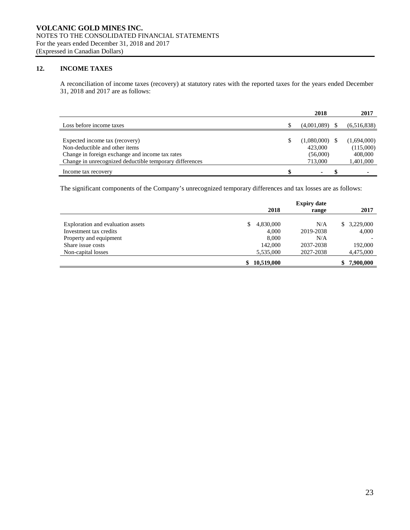# **12. INCOME TAXES**

A reconciliation of income taxes (recovery) at statutory rates with the reported taxes for the years ended December 31, 2018 and 2017 are as follows:

|                                                         |     | 2018        | 2017           |
|---------------------------------------------------------|-----|-------------|----------------|
| Loss before income taxes                                |     | (4,001,089) | (6,516,838)    |
|                                                         |     |             |                |
| Expected income tax (recovery)                          | \$. | (1,080,000) | (1,694,000)    |
| Non-deductible and other items                          |     | 423,000     | (115,000)      |
| Change in foreign exchange and income tax rates         |     | (56,000)    | 408,000        |
| Change in unrecognized deductible temporary differences |     | 713,000     | 1,401,000      |
| Income tax recovery                                     | \$  | ٠           | $\blacksquare$ |

The significant components of the Company's unrecognized temporary differences and tax losses are as follows:

|                                   | 2018             | <b>Expiry date</b><br>range | 2017        |
|-----------------------------------|------------------|-----------------------------|-------------|
| Exploration and evaluation assets | 4,830,000<br>S   | N/A                         | \$3,229,000 |
| Investment tax credits            | 4.000            | 2019-2038                   | 4,000       |
| Property and equipment            | 8,000            | N/A                         |             |
| Share issue costs                 | 142,000          | 2037-2038                   | 192,000     |
| Non-capital losses                | 5,535,000        | 2027-2038                   | 4,475,000   |
|                                   | 10,519,000<br>\$ |                             | 7,900,000   |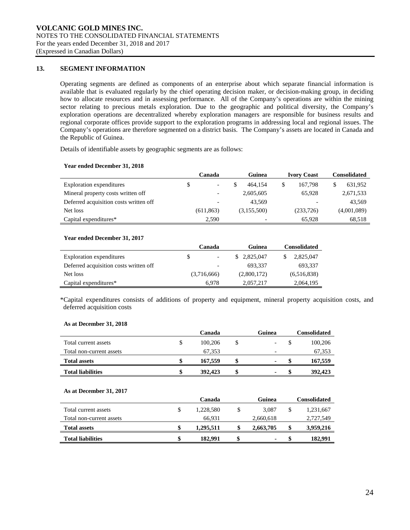# **13. SEGMENT INFORMATION**

Operating segments are defined as components of an enterprise about which separate financial information is available that is evaluated regularly by the chief operating decision maker, or decision-making group, in deciding how to allocate resources and in assessing performance. All of the Company's operations are within the mining sector relating to precious metals exploration. Due to the geographic and political diversity, the Company's exploration operations are decentralized whereby exploration managers are responsible for business results and regional corporate offices provide support to the exploration programs in addressing local and regional issues. The Company's operations are therefore segmented on a district basis. The Company's assets are located in Canada and the Republic of Guinea.

Details of identifiable assets by geographic segments are as follows:

#### **Year ended December 31, 2018**

|                                        | Canada |                          | Guinea      |  | <b>Ivory Coast</b> |  | <b>Consolidated</b> |  |
|----------------------------------------|--------|--------------------------|-------------|--|--------------------|--|---------------------|--|
| Exploration expenditures               | S.     |                          | 464.154     |  | 167.798            |  | 631,952             |  |
| Mineral property costs written off     |        | -                        | 2,605,605   |  | 65.928             |  | 2,671,533           |  |
| Deferred acquisition costs written off |        | $\overline{\phantom{0}}$ | 43.569      |  | -                  |  | 43.569              |  |
| Net loss                               |        | (611, 863)               | (3,155,500) |  | (233, 726)         |  | (4,001,089)         |  |
| Capital expenditures*                  |        | 2.590                    |             |  | 65.928             |  | 68,518              |  |

#### **Year ended December 31, 2017**

|                                        | Canada                   | <b>Consolidated</b> |             |  |  |
|----------------------------------------|--------------------------|---------------------|-------------|--|--|
| Exploration expenditures               | \$                       | 2,825,047           | 2,825,047   |  |  |
| Deferred acquisition costs written off | $\overline{\phantom{a}}$ | 693.337             | 693,337     |  |  |
| Net loss                               | (3,716,666)              | (2,800,172)         | (6,516,838) |  |  |
| Capital expenditures*                  | 6.978                    | 2,057,217           | 2,064,195   |  |  |

\*Capital expenditures consists of additions of property and equipment, mineral property acquisition costs, and deferred acquisition costs

#### **As at December 31, 2018**

|                          | Canada | Guinea  | <b>Consolidated</b>      |         |
|--------------------------|--------|---------|--------------------------|---------|
| Total current assets     |        | 100.206 | \$<br>-                  | 100,206 |
| Total non-current assets |        | 67.353  | $\overline{\phantom{0}}$ | 67,353  |
| <b>Total assets</b>      |        | 167.559 | $\blacksquare$           | 167,559 |
| <b>Total liabilities</b> |        | 392,423 |                          | 392,423 |

#### **As at December 31, 2017**

|                          | Canada          |    | Guinea    |    | Consolidated |
|--------------------------|-----------------|----|-----------|----|--------------|
| Total current assets     | \$<br>1.228.580 |    | 3.087     | \$ | 1,231,667    |
| Total non-current assets | 66.931          |    | 2,660,618 |    | 2,727,549    |
| <b>Total assets</b>      | \$<br>1.295.511 | S  | 2,663,705 | \$ | 3,959,216    |
| <b>Total liabilities</b> | \$<br>182.991   | \$ | ٠         | S  | 182.991      |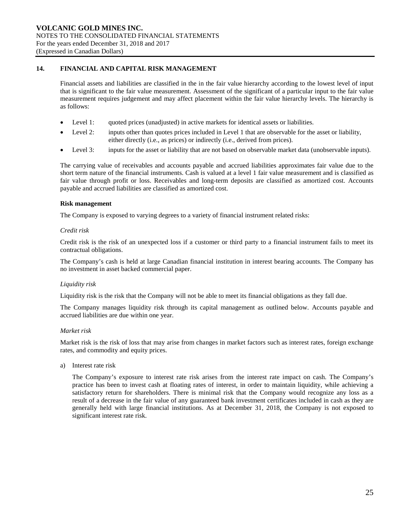# **14. FINANCIAL AND CAPITAL RISK MANAGEMENT**

Financial assets and liabilities are classified in the in the fair value hierarchy according to the lowest level of input that is significant to the fair value measurement. Assessment of the significant of a particular input to the fair value measurement requires judgement and may affect placement within the fair value hierarchy levels. The hierarchy is as follows:

- Level 1: quoted prices (unadjusted) in active markets for identical assets or liabilities.
- Level 2: inputs other than quotes prices included in Level 1 that are observable for the asset or liability, either directly (i.e., as prices) or indirectly (i.e., derived from prices).
- Level 3: inputs for the asset or liability that are not based on observable market data (unobservable inputs).

The carrying value of receivables and accounts payable and accrued liabilities approximates fair value due to the short term nature of the financial instruments. Cash is valued at a level 1 fair value measurement and is classified as fair value through profit or loss. Receivables and long-term deposits are classified as amortized cost. Accounts payable and accrued liabilities are classified as amortized cost.

#### **Risk management**

The Company is exposed to varying degrees to a variety of financial instrument related risks:

#### *Credit risk*

Credit risk is the risk of an unexpected loss if a customer or third party to a financial instrument fails to meet its contractual obligations.

The Company's cash is held at large Canadian financial institution in interest bearing accounts. The Company has no investment in asset backed commercial paper.

#### *Liquidity risk*

Liquidity risk is the risk that the Company will not be able to meet its financial obligations as they fall due.

The Company manages liquidity risk through its capital management as outlined below. Accounts payable and accrued liabilities are due within one year.

#### *Market risk*

Market risk is the risk of loss that may arise from changes in market factors such as interest rates, foreign exchange rates, and commodity and equity prices.

a) Interest rate risk

The Company's exposure to interest rate risk arises from the interest rate impact on cash. The Company's practice has been to invest cash at floating rates of interest, in order to maintain liquidity, while achieving a satisfactory return for shareholders. There is minimal risk that the Company would recognize any loss as a result of a decrease in the fair value of any guaranteed bank investment certificates included in cash as they are generally held with large financial institutions. As at December 31, 2018, the Company is not exposed to significant interest rate risk.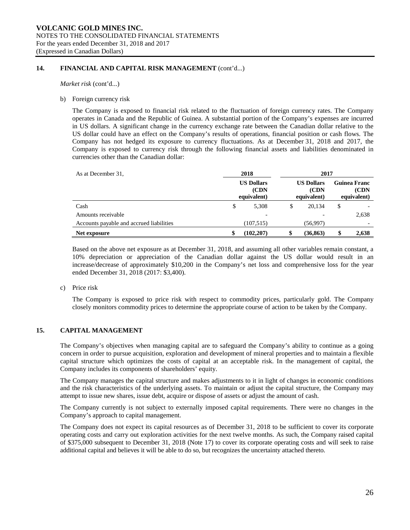# **14. FINANCIAL AND CAPITAL RISK MANAGEMENT** (cont'd...)

*Market risk* (cont'd...)

b) Foreign currency risk

The Company is exposed to financial risk related to the fluctuation of foreign currency rates. The Company operates in Canada and the Republic of Guinea. A substantial portion of the Company's expenses are incurred in US dollars. A significant change in the currency exchange rate between the Canadian dollar relative to the US dollar could have an effect on the Company's results of operations, financial position or cash flows. The Company has not hedged its exposure to currency fluctuations. As at December 31, 2018 and 2017, the Company is exposed to currency risk through the following financial assets and liabilities denominated in currencies other than the Canadian dollar:

| As at December 31,                       | 2018                                     |            |    | 2017                                      |                                            |       |  |
|------------------------------------------|------------------------------------------|------------|----|-------------------------------------------|--------------------------------------------|-------|--|
|                                          | <b>US Dollars</b><br>(CDN<br>equivalent) |            |    | <b>US Dollars</b><br>(CDN)<br>equivalent) | <b>Guinea Franc</b><br>(CDN<br>equivalent) |       |  |
| Cash                                     | \$                                       | 5,308      | \$ | 20,134                                    | \$                                         |       |  |
| Amounts receivable                       |                                          | -          |    |                                           |                                            | 2,638 |  |
| Accounts payable and accrued liabilities |                                          | (107, 515) |    | (56,997)                                  |                                            |       |  |
| Net exposure                             |                                          | (102, 207) |    | (36, 863)                                 | \$                                         | 2,638 |  |

Based on the above net exposure as at December 31, 2018, and assuming all other variables remain constant, a 10% depreciation or appreciation of the Canadian dollar against the US dollar would result in an increase/decrease of approximately \$10,200 in the Company's net loss and comprehensive loss for the year ended December 31, 2018 (2017: \$3,400).

c) Price risk

The Company is exposed to price risk with respect to commodity prices, particularly gold. The Company closely monitors commodity prices to determine the appropriate course of action to be taken by the Company.

# **15. CAPITAL MANAGEMENT**

The Company's objectives when managing capital are to safeguard the Company's ability to continue as a going concern in order to pursue acquisition, exploration and development of mineral properties and to maintain a flexible capital structure which optimizes the costs of capital at an acceptable risk. In the management of capital, the Company includes its components of shareholders' equity.

The Company manages the capital structure and makes adjustments to it in light of changes in economic conditions and the risk characteristics of the underlying assets. To maintain or adjust the capital structure, the Company may attempt to issue new shares, issue debt, acquire or dispose of assets or adjust the amount of cash.

The Company currently is not subject to externally imposed capital requirements. There were no changes in the Company's approach to capital management.

The Company does not expect its capital resources as of December 31, 2018 to be sufficient to cover its corporate operating costs and carry out exploration activities for the next twelve months. As such, the Company raised capital of \$375,000 subsequent to December 31, 2018 (Note 17) to cover its corporate operating costs and will seek to raise additional capital and believes it will be able to do so, but recognizes the uncertainty attached thereto.